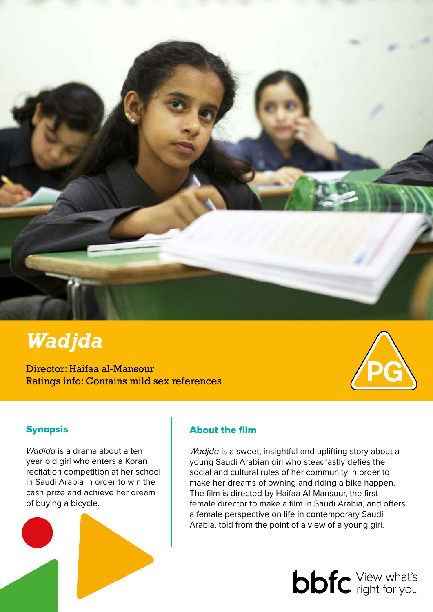

# *Wadjda*

Director: Haifaa al-Mansour Ratings info: Contains mild sex references



## Synopsis

*Wadjda* is a drama about a ten year old girl who enters a Koran recitation competition at her school in Saudi Arabia in order to win the cash prize and achieve her dream of buying a bicycle.



## About the film

*Wadjda* is a sweet, insightful and uplifting story about a young Saudi Arabian girl who steadfastly defies the social and cultural rules of her community in order to make her dreams of owning and riding a bike happen. The film is directed by Haifaa Al-Mansour, the first female director to make a film in Saudi Arabia, and offers a female perspective on life in contemporary Saudi Arabia, told from the point of a view of a young girl.